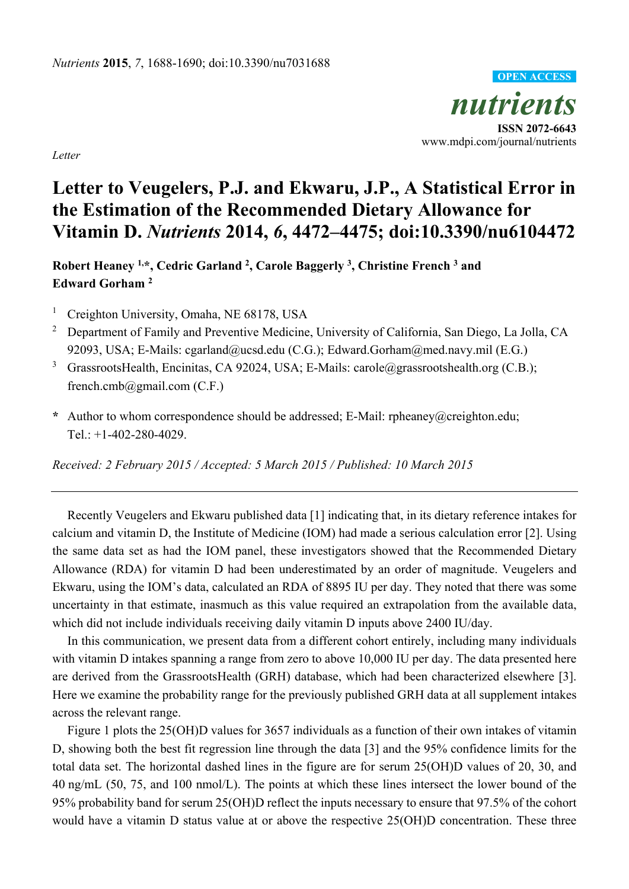*nutrients*  **ISSN 2072-6643**  www.mdpi.com/journal/nutrients **OPEN ACCESS**

*Letter* 

## **Letter to Veugelers, P.J. and Ekwaru, J.P., A Statistical Error in the Estimation of the Recommended Dietary Allowance for Vitamin D.** *Nutrients* **2014,** *6***, 4472–4475; doi:10.3390/nu6104472**

**Robert Heaney 1,\*, Cedric Garland 2, Carole Baggerly 3, Christine French 3 and Edward Gorham 2**

- 1 Creighton University, Omaha, NE 68178, USA
- 2 Department of Family and Preventive Medicine, University of California, San Diego, La Jolla, CA 92093, USA; E-Mails: cgarland@ucsd.edu (C.G.); Edward.Gorham@med.navy.mil (E.G.)
- 3 GrassrootsHealth, Encinitas, CA 92024, USA; E-Mails: carole@grassrootshealth.org (C.B.); french.cmb@gmail.com (C.F.)
- **\*** Author to whom correspondence should be addressed; E-Mail: rpheaney@creighton.edu; Tel.: +1-402-280-4029.

*Received: 2 February 2015 / Accepted: 5 March 2015 / Published: 10 March 2015* 

Recently Veugelers and Ekwaru published data [1] indicating that, in its dietary reference intakes for calcium and vitamin D, the Institute of Medicine (IOM) had made a serious calculation error [2]. Using the same data set as had the IOM panel, these investigators showed that the Recommended Dietary Allowance (RDA) for vitamin D had been underestimated by an order of magnitude. Veugelers and Ekwaru, using the IOM's data, calculated an RDA of 8895 IU per day. They noted that there was some uncertainty in that estimate, inasmuch as this value required an extrapolation from the available data, which did not include individuals receiving daily vitamin D inputs above 2400 IU/day.

In this communication, we present data from a different cohort entirely, including many individuals with vitamin D intakes spanning a range from zero to above 10,000 IU per day. The data presented here are derived from the GrassrootsHealth (GRH) database, which had been characterized elsewhere [3]. Here we examine the probability range for the previously published GRH data at all supplement intakes across the relevant range.

Figure 1 plots the 25(OH)D values for 3657 individuals as a function of their own intakes of vitamin D, showing both the best fit regression line through the data [3] and the 95% confidence limits for the total data set. The horizontal dashed lines in the figure are for serum 25(OH)D values of 20, 30, and 40 ng/mL (50, 75, and 100 nmol/L). The points at which these lines intersect the lower bound of the 95% probability band for serum 25(OH)D reflect the inputs necessary to ensure that 97.5% of the cohort would have a vitamin D status value at or above the respective 25(OH)D concentration. These three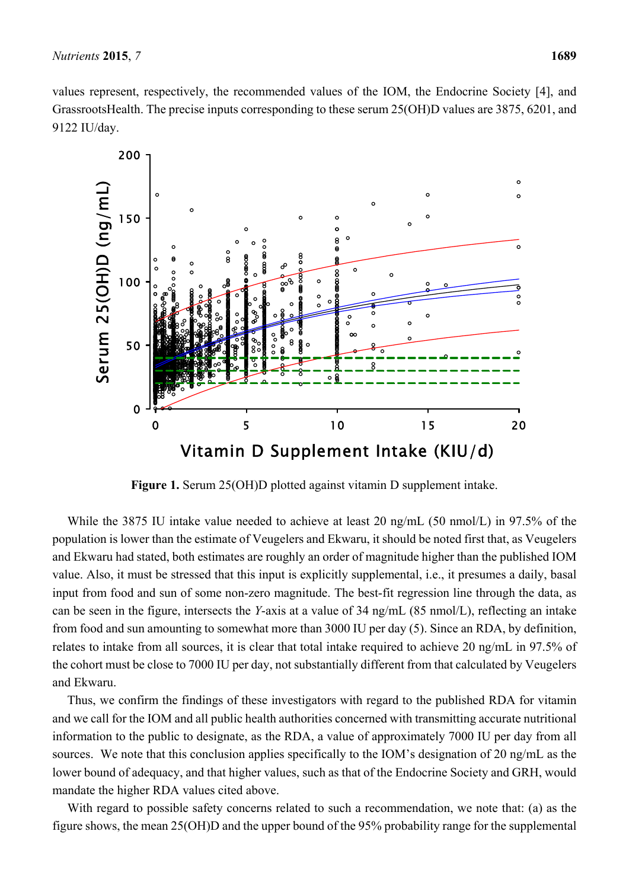values represent, respectively, the recommended values of the IOM, the Endocrine Society [4], and GrassrootsHealth. The precise inputs corresponding to these serum 25(OH)D values are 3875, 6201, and 9122 IU/day.



**Figure 1.** Serum 25(OH)D plotted against vitamin D supplement intake.

While the 3875 IU intake value needed to achieve at least 20 ng/mL (50 nmol/L) in 97.5% of the population is lower than the estimate of Veugelers and Ekwaru, it should be noted first that, as Veugelers and Ekwaru had stated, both estimates are roughly an order of magnitude higher than the published IOM value. Also, it must be stressed that this input is explicitly supplemental, i.e., it presumes a daily, basal input from food and sun of some non-zero magnitude. The best-fit regression line through the data, as can be seen in the figure, intersects the *Y*-axis at a value of 34 ng/mL (85 nmol/L), reflecting an intake from food and sun amounting to somewhat more than 3000 IU per day (5). Since an RDA, by definition, relates to intake from all sources, it is clear that total intake required to achieve 20 ng/mL in 97.5% of the cohort must be close to 7000 IU per day, not substantially different from that calculated by Veugelers and Ekwaru.

Thus, we confirm the findings of these investigators with regard to the published RDA for vitamin and we call for the IOM and all public health authorities concerned with transmitting accurate nutritional information to the public to designate, as the RDA, a value of approximately 7000 IU per day from all sources. We note that this conclusion applies specifically to the IOM's designation of 20 ng/mL as the lower bound of adequacy, and that higher values, such as that of the Endocrine Society and GRH, would mandate the higher RDA values cited above.

With regard to possible safety concerns related to such a recommendation, we note that: (a) as the figure shows, the mean 25(OH)D and the upper bound of the 95% probability range for the supplemental